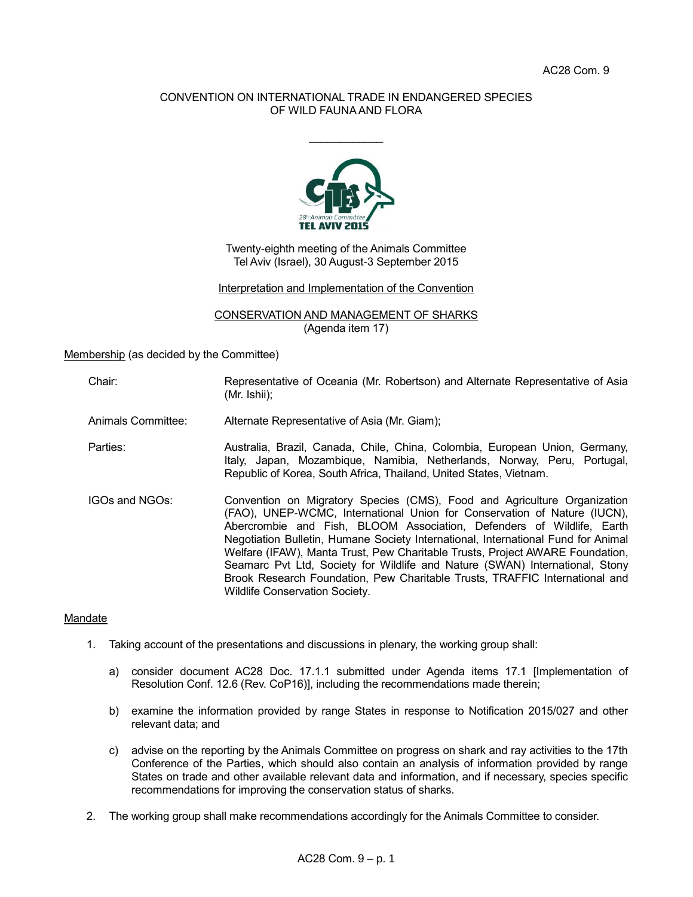## CONVENTION ON INTERNATIONAL TRADE IN ENDANGERED SPECIES OF WILD FAUNA AND FLORA

 $\frac{1}{2}$ 



Twenty-eighth meeting of the Animals Committee Tel Aviv (Israel), 30 August-3 September 2015

Interpretation and Implementation of the Convention

CONSERVATION AND MANAGEMENT OF SHARKS (Agenda item 17)

Membership (as decided by the Committee)

Chair: Representative of Oceania (Mr. Robertson) and Alternate Representative of Asia (Mr. Ishii);

Animals Committee: Alternate Representative of Asia (Mr. Giam);

- Parties: Australia, Brazil, Canada, Chile, China, Colombia, European Union, Germany, Italy, Japan, Mozambique, Namibia, Netherlands, Norway, Peru, Portugal, Republic of Korea, South Africa, Thailand, United States, Vietnam.
- IGOs and NGOs: Convention on Migratory Species (CMS), Food and Agriculture Organization (FAO), UNEP-WCMC, International Union for Conservation of Nature (IUCN), Abercrombie and Fish, BLOOM Association, Defenders of Wildlife, Earth Negotiation Bulletin, Humane Society International, International Fund for Animal Welfare (IFAW), Manta Trust, Pew Charitable Trusts, Project AWARE Foundation, Seamarc Pvt Ltd, Society for Wildlife and Nature (SWAN) International, Stony Brook Research Foundation, Pew Charitable Trusts, TRAFFIC International and Wildlife Conservation Society.

### Mandate

- 1. Taking account of the presentations and discussions in plenary, the working group shall:
	- a) consider document AC28 Doc. 17.1.1 submitted under Agenda items 17.1 [Implementation of Resolution Conf. 12.6 (Rev. CoP16)], including the recommendations made therein;
	- b) examine the information provided by range States in response to Notification 2015/027 and other relevant data; and
	- c) advise on the reporting by the Animals Committee on progress on shark and ray activities to the 17th Conference of the Parties, which should also contain an analysis of information provided by range States on trade and other available relevant data and information, and if necessary, species specific recommendations for improving the conservation status of sharks.
- 2. The working group shall make recommendations accordingly for the Animals Committee to consider.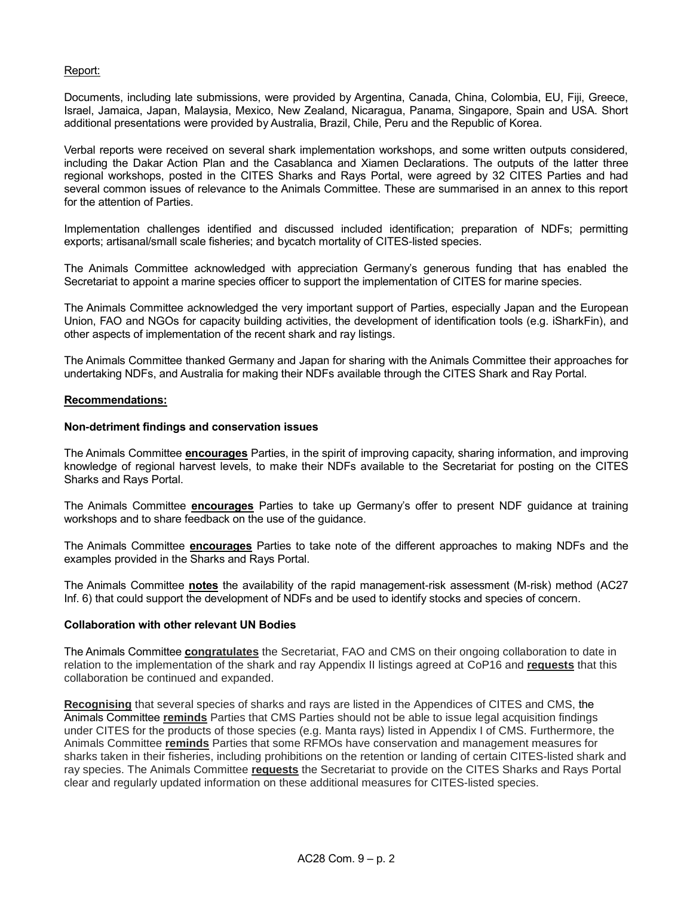### Report:

Documents, including late submissions, were provided by Argentina, Canada, China, Colombia, EU, Fiji, Greece, Israel, Jamaica, Japan, Malaysia, Mexico, New Zealand, Nicaragua, Panama, Singapore, Spain and USA. Short additional presentations were provided by Australia, Brazil, Chile, Peru and the Republic of Korea.

Verbal reports were received on several shark implementation workshops, and some written outputs considered, including the Dakar Action Plan and the Casablanca and Xiamen Declarations. The outputs of the latter three regional workshops, posted in the CITES Sharks and Rays Portal, were agreed by 32 CITES Parties and had several common issues of relevance to the Animals Committee. These are summarised in an annex to this report for the attention of Parties.

Implementation challenges identified and discussed included identification; preparation of NDFs; permitting exports; artisanal/small scale fisheries; and bycatch mortality of CITES-listed species.

The Animals Committee acknowledged with appreciation Germany's generous funding that has enabled the Secretariat to appoint a marine species officer to support the implementation of CITES for marine species.

The Animals Committee acknowledged the very important support of Parties, especially Japan and the European Union, FAO and NGOs for capacity building activities, the development of identification tools (e.g. iSharkFin), and other aspects of implementation of the recent shark and ray listings.

The Animals Committee thanked Germany and Japan for sharing with the Animals Committee their approaches for undertaking NDFs, and Australia for making their NDFs available through the CITES Shark and Ray Portal.

### **Recommendations:**

### **Non-detriment findings and conservation issues**

The Animals Committee **encourages** Parties, in the spirit of improving capacity, sharing information, and improving knowledge of regional harvest levels, to make their NDFs available to the Secretariat for posting on the CITES Sharks and Rays Portal.

The Animals Committee **encourages** Parties to take up Germany's offer to present NDF guidance at training workshops and to share feedback on the use of the guidance.

The Animals Committee **encourages** Parties to take note of the different approaches to making NDFs and the examples provided in the Sharks and Rays Portal.

The Animals Committee **notes** the availability of the rapid management-risk assessment (M-risk) method (AC27 Inf. 6) that could support the development of NDFs and be used to identify stocks and species of concern.

#### **Collaboration with other relevant UN Bodies**

The Animals Committee **congratulates** the Secretariat, FAO and CMS on their ongoing collaboration to date in relation to the implementation of the shark and ray Appendix II listings agreed at CoP16 and **requests** that this collaboration be continued and expanded.

**Recognising** that several species of sharks and rays are listed in the Appendices of CITES and CMS, the Animals Committee **reminds** Parties that CMS Parties should not be able to issue legal acquisition findings under CITES for the products of those species (e.g. Manta rays) listed in Appendix I of CMS. Furthermore, the Animals Committee **reminds** Parties that some RFMOs have conservation and management measures for sharks taken in their fisheries, including prohibitions on the retention or landing of certain CITES-listed shark and ray species. The Animals Committee **requests** the Secretariat to provide on the CITES Sharks and Rays Portal clear and regularly updated information on these additional measures for CITES-listed species.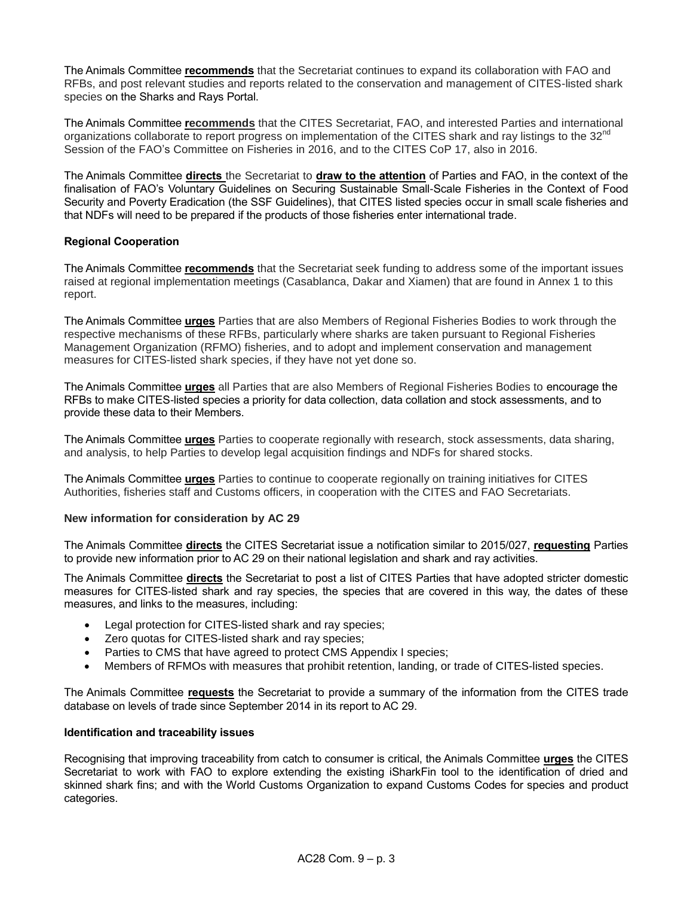The Animals Committee **recommends** that the Secretariat continues to expand its collaboration with FAO and RFBs, and post relevant studies and reports related to the conservation and management of CITES-listed shark species on the Sharks and Rays Portal.

The Animals Committee **recommends** that the CITES Secretariat, FAO, and interested Parties and international organizations collaborate to report progress on implementation of the CITES shark and ray listings to the 32<sup>nd</sup> Session of the FAO's Committee on Fisheries in 2016, and to the CITES CoP 17, also in 2016.

The Animals Committee **directs** the Secretariat to **draw to the attention** of Parties and FAO, in the context of the finalisation of FAO's Voluntary Guidelines on Securing Sustainable Small-Scale Fisheries in the Context of Food Security and Poverty Eradication (the SSF Guidelines), that CITES listed species occur in small scale fisheries and that NDFs will need to be prepared if the products of those fisheries enter international trade.

# **Regional Cooperation**

The Animals Committee **recommends** that the Secretariat seek funding to address some of the important issues raised at regional implementation meetings (Casablanca, Dakar and Xiamen) that are found in Annex 1 to this report.

The Animals Committee **urges** Parties that are also Members of Regional Fisheries Bodies to work through the respective mechanisms of these RFBs, particularly where sharks are taken pursuant to Regional Fisheries Management Organization (RFMO) fisheries, and to adopt and implement conservation and management measures for CITES-listed shark species, if they have not yet done so.

The Animals Committee **urges** all Parties that are also Members of Regional Fisheries Bodies to encourage the RFBs to make CITES-listed species a priority for data collection, data collation and stock assessments, and to provide these data to their Members.

The Animals Committee **urges** Parties to cooperate regionally with research, stock assessments, data sharing, and analysis, to help Parties to develop legal acquisition findings and NDFs for shared stocks.

The Animals Committee **urges** Parties to continue to cooperate regionally on training initiatives for CITES Authorities, fisheries staff and Customs officers, in cooperation with the CITES and FAO Secretariats.

### **New information for consideration by AC 29**

The Animals Committee **directs** the CITES Secretariat issue a notification similar to 2015/027, **requesting** Parties to provide new information prior to AC 29 on their national legislation and shark and ray activities.

The Animals Committee **directs** the Secretariat to post a list of CITES Parties that have adopted stricter domestic measures for CITES-listed shark and ray species, the species that are covered in this way, the dates of these measures, and links to the measures, including:

- Legal protection for CITES-listed shark and ray species;
- Zero quotas for CITES-listed shark and ray species;
- Parties to CMS that have agreed to protect CMS Appendix I species;
- Members of RFMOs with measures that prohibit retention, landing, or trade of CITES-listed species.

The Animals Committee **requests** the Secretariat to provide a summary of the information from the CITES trade database on levels of trade since September 2014 in its report to AC 29.

### **Identification and traceability issues**

Recognising that improving traceability from catch to consumer is critical, the Animals Committee **urges** the CITES Secretariat to work with FAO to explore extending the existing iSharkFin tool to the identification of dried and skinned shark fins; and with the World Customs Organization to expand Customs Codes for species and product categories.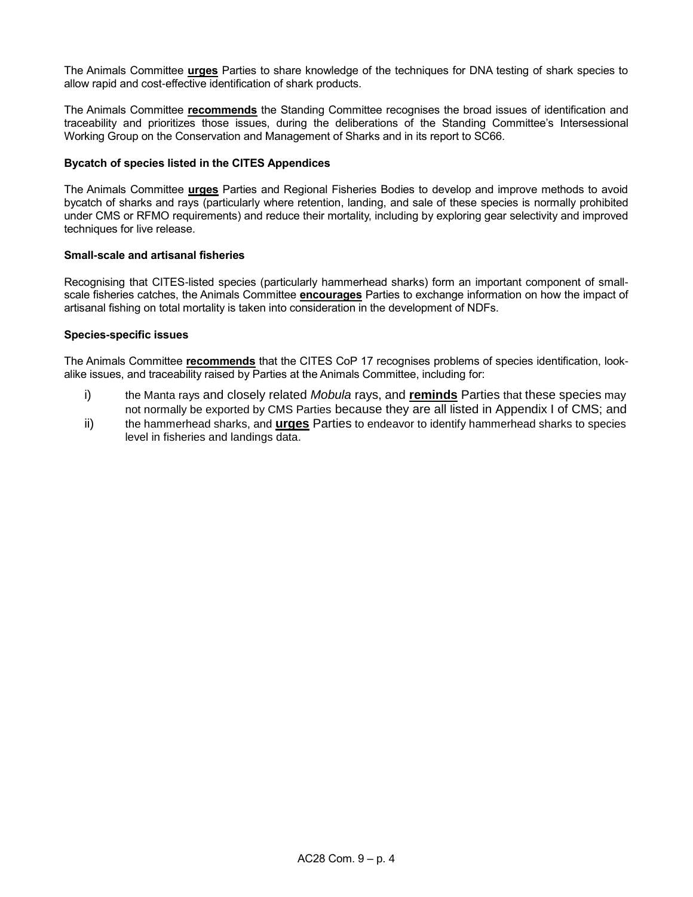The Animals Committee **urges** Parties to share knowledge of the techniques for DNA testing of shark species to allow rapid and cost-effective identification of shark products.

The Animals Committee **recommends** the Standing Committee recognises the broad issues of identification and traceability and prioritizes those issues, during the deliberations of the Standing Committee's Intersessional Working Group on the Conservation and Management of Sharks and in its report to SC66.

### **Bycatch of species listed in the CITES Appendices**

The Animals Committee **urges** Parties and Regional Fisheries Bodies to develop and improve methods to avoid bycatch of sharks and rays (particularly where retention, landing, and sale of these species is normally prohibited under CMS or RFMO requirements) and reduce their mortality, including by exploring gear selectivity and improved techniques for live release.

### **Small-scale and artisanal fisheries**

Recognising that CITES-listed species (particularly hammerhead sharks) form an important component of smallscale fisheries catches, the Animals Committee **encourages** Parties to exchange information on how the impact of artisanal fishing on total mortality is taken into consideration in the development of NDFs.

### **Species-specific issues**

The Animals Committee **recommends** that the CITES CoP 17 recognises problems of species identification, lookalike issues, and traceability raised by Parties at the Animals Committee, including for:

- i) the Manta rays and closely related *Mobula* rays, and **reminds** Parties that these species may not normally be exported by CMS Parties because they are all listed in Appendix I of CMS; and
- ii) the hammerhead sharks, and **urges** Parties to endeavor to identify hammerhead sharks to species level in fisheries and landings data.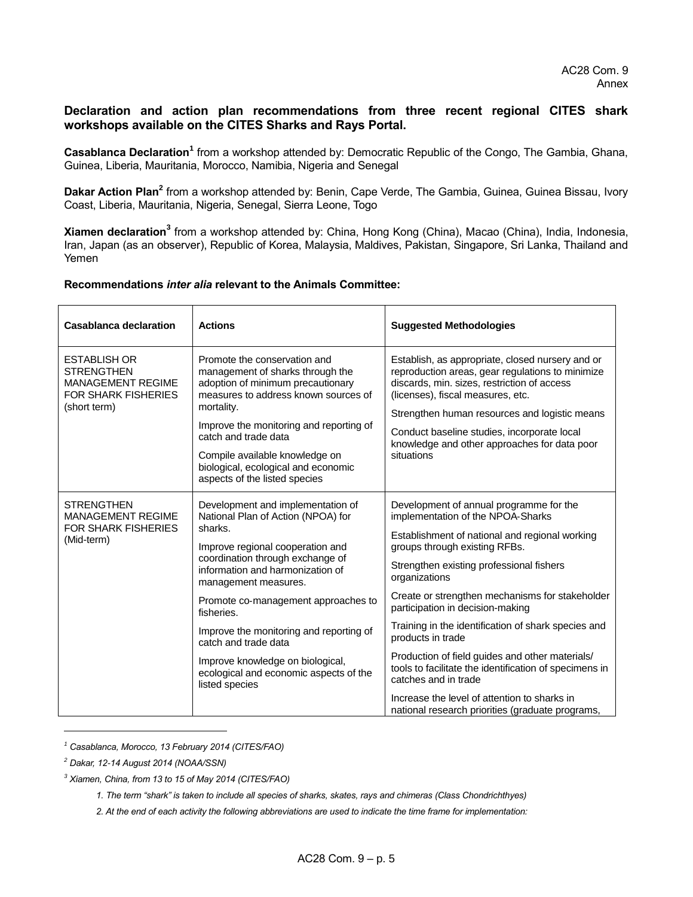# **Declaration and action plan recommendations from three recent regional CITES shark workshops available on the CITES Sharks and Rays Portal.**

Casablanca Declaration<sup>1</sup> from a workshop attended by: Democratic Republic of the Congo, The Gambia, Ghana, Guinea, Liberia, Mauritania, Morocco, Namibia, Nigeria and Senegal

Dakar Action Plan<sup>2</sup> from a workshop attended by: Benin, Cape Verde, The Gambia, Guinea, Guinea Bissau, Ivory Coast, Liberia, Mauritania, Nigeria, Senegal, Sierra Leone, Togo

**Xiamen declaration<sup>3</sup>** from a workshop attended by: China, Hong Kong (China), Macao (China), India, Indonesia, Iran, Japan (as an observer), Republic of Korea, Malaysia, Maldives, Pakistan, Singapore, Sri Lanka, Thailand and Yemen

### **Recommendations** *inter alia* **relevant to the Animals Committee:**

| <b>Casablanca declaration</b>                                                                                      | <b>Actions</b>                                                                                                                                                                                                                                                                                                                                                                                                                                 | <b>Suggested Methodologies</b>                                                                                                                                                                                                                                                                                                                                                                                                                                                                                                                                                                                                           |
|--------------------------------------------------------------------------------------------------------------------|------------------------------------------------------------------------------------------------------------------------------------------------------------------------------------------------------------------------------------------------------------------------------------------------------------------------------------------------------------------------------------------------------------------------------------------------|------------------------------------------------------------------------------------------------------------------------------------------------------------------------------------------------------------------------------------------------------------------------------------------------------------------------------------------------------------------------------------------------------------------------------------------------------------------------------------------------------------------------------------------------------------------------------------------------------------------------------------------|
| <b>ESTABLISH OR</b><br><b>STRENGTHEN</b><br><b>MANAGEMENT REGIME</b><br><b>FOR SHARK FISHERIES</b><br>(short term) | Promote the conservation and<br>management of sharks through the<br>adoption of minimum precautionary<br>measures to address known sources of<br>mortality.<br>Improve the monitoring and reporting of<br>catch and trade data<br>Compile available knowledge on<br>biological, ecological and economic<br>aspects of the listed species                                                                                                       | Establish, as appropriate, closed nursery and or<br>reproduction areas, gear regulations to minimize<br>discards, min. sizes, restriction of access<br>(licenses), fiscal measures, etc.<br>Strengthen human resources and logistic means<br>Conduct baseline studies, incorporate local<br>knowledge and other approaches for data poor<br>situations                                                                                                                                                                                                                                                                                   |
| <b>STRENGTHEN</b><br><b>MANAGEMENT REGIME</b><br><b>FOR SHARK FISHERIES</b><br>(Mid-term)                          | Development and implementation of<br>National Plan of Action (NPOA) for<br>sharks.<br>Improve regional cooperation and<br>coordination through exchange of<br>information and harmonization of<br>management measures.<br>Promote co-management approaches to<br>fisheries.<br>Improve the monitoring and reporting of<br>catch and trade data<br>Improve knowledge on biological,<br>ecological and economic aspects of the<br>listed species | Development of annual programme for the<br>implementation of the NPOA-Sharks<br>Establishment of national and regional working<br>groups through existing RFBs.<br>Strengthen existing professional fishers<br>organizations<br>Create or strengthen mechanisms for stakeholder<br>participation in decision-making<br>Training in the identification of shark species and<br>products in trade<br>Production of field guides and other materials/<br>tools to facilitate the identification of specimens in<br>catches and in trade<br>Increase the level of attention to sharks in<br>national research priorities (graduate programs, |

*<sup>1</sup> Casablanca, Morocco, 13 February 2014 (CITES/FAO)*

l

*<sup>2</sup> Dakar, 12-14 August 2014 (NOAA/SSN)* 

*<sup>3</sup> Xiamen, China, from 13 to 15 of May 2014 (CITES/FAO)*

*<sup>1.</sup> The term "shark" is taken to include all species of sharks, skates, rays and chimeras (Class Chondrichthyes)*

*<sup>2.</sup> At the end of each activity the following abbreviations are used to indicate the time frame for implementation:*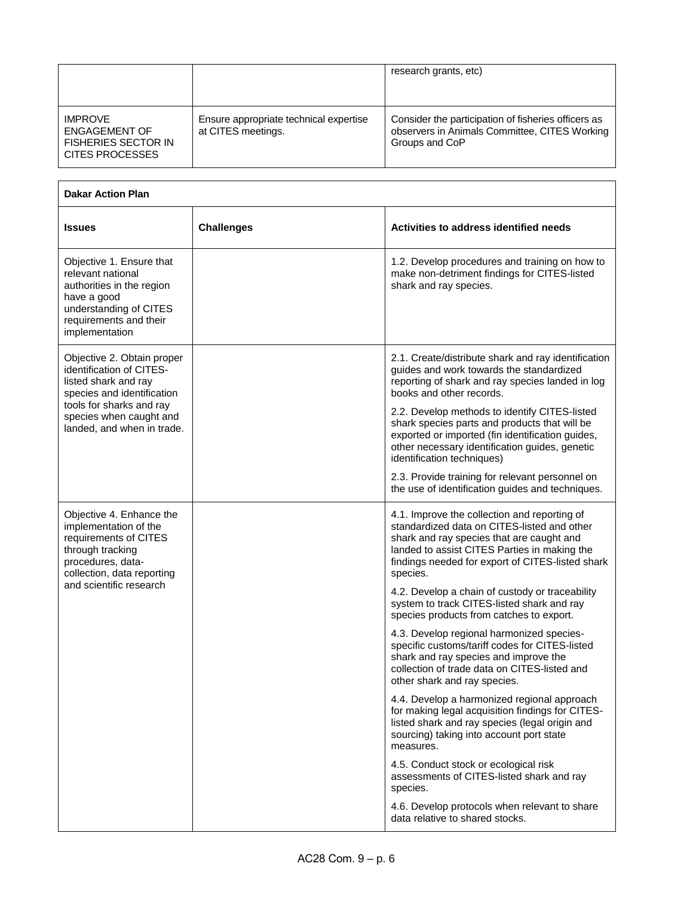|                                                                                                |                                                              | research grants, etc)                                                                                                  |
|------------------------------------------------------------------------------------------------|--------------------------------------------------------------|------------------------------------------------------------------------------------------------------------------------|
| <b>IMPROVE</b><br><b>ENGAGEMENT OF</b><br><b>FISHERIES SECTOR IN</b><br><b>CITES PROCESSES</b> | Ensure appropriate technical expertise<br>at CITES meetings. | Consider the participation of fisheries officers as<br>observers in Animals Committee, CITES Working<br>Groups and CoP |

| <b>Dakar Action Plan</b>                                                                                                                                                     |                   |                                                                                                                                                                                                                                                          |
|------------------------------------------------------------------------------------------------------------------------------------------------------------------------------|-------------------|----------------------------------------------------------------------------------------------------------------------------------------------------------------------------------------------------------------------------------------------------------|
| <b>Issues</b>                                                                                                                                                                | <b>Challenges</b> | Activities to address identified needs                                                                                                                                                                                                                   |
| Objective 1. Ensure that<br>relevant national<br>authorities in the region<br>have a good<br>understanding of CITES<br>requirements and their<br>implementation              |                   | 1.2. Develop procedures and training on how to<br>make non-detriment findings for CITES-listed<br>shark and ray species.                                                                                                                                 |
| Objective 2. Obtain proper<br>identification of CITES-<br>listed shark and ray<br>species and identification                                                                 |                   | 2.1. Create/distribute shark and ray identification<br>guides and work towards the standardized<br>reporting of shark and ray species landed in log<br>books and other records.                                                                          |
| tools for sharks and ray<br>species when caught and<br>landed, and when in trade.                                                                                            |                   | 2.2. Develop methods to identify CITES-listed<br>shark species parts and products that will be<br>exported or imported (fin identification guides,<br>other necessary identification guides, genetic<br>identification techniques)                       |
|                                                                                                                                                                              |                   | 2.3. Provide training for relevant personnel on<br>the use of identification guides and techniques.                                                                                                                                                      |
| Objective 4. Enhance the<br>implementation of the<br>requirements of CITES<br>through tracking<br>procedures, data-<br>collection, data reporting<br>and scientific research |                   | 4.1. Improve the collection and reporting of<br>standardized data on CITES-listed and other<br>shark and ray species that are caught and<br>landed to assist CITES Parties in making the<br>findings needed for export of CITES-listed shark<br>species. |
|                                                                                                                                                                              |                   | 4.2. Develop a chain of custody or traceability<br>system to track CITES-listed shark and ray<br>species products from catches to export.                                                                                                                |
|                                                                                                                                                                              |                   | 4.3. Develop regional harmonized species-<br>specific customs/tariff codes for CITES-listed<br>shark and ray species and improve the<br>collection of trade data on CITES-listed and<br>other shark and ray species.                                     |
|                                                                                                                                                                              |                   | 4.4. Develop a harmonized regional approach<br>for making legal acquisition findings for CITES-<br>listed shark and ray species (legal origin and<br>sourcing) taking into account port state<br>measures.                                               |
|                                                                                                                                                                              |                   | 4.5. Conduct stock or ecological risk<br>assessments of CITES-listed shark and ray<br>species.                                                                                                                                                           |
|                                                                                                                                                                              |                   | 4.6. Develop protocols when relevant to share<br>data relative to shared stocks.                                                                                                                                                                         |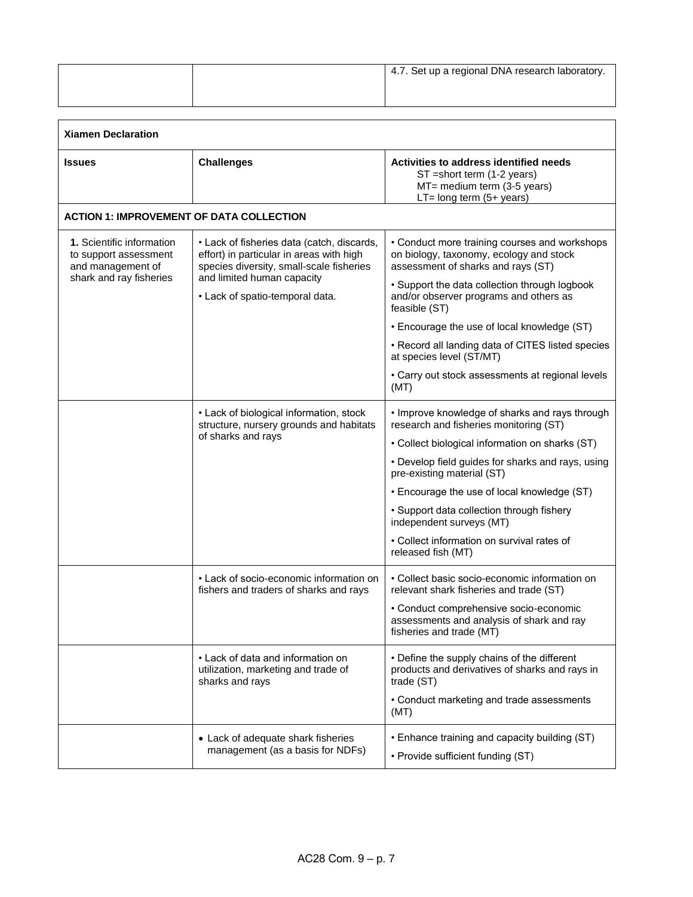|  | <sup>1</sup> 4.7. Set up a regional DNA research laboratory. |
|--|--------------------------------------------------------------|
|  |                                                              |

| <b>Xiamen Declaration</b>                                                                                 |                                                                                                                                    |                                                                                                                                      |
|-----------------------------------------------------------------------------------------------------------|------------------------------------------------------------------------------------------------------------------------------------|--------------------------------------------------------------------------------------------------------------------------------------|
| <b>Issues</b>                                                                                             | <b>Challenges</b>                                                                                                                  | Activities to address identified needs<br>ST = short term (1-2 years)<br>MT= medium term (3-5 years)<br>$LT = long term (5 + years)$ |
| <b>ACTION 1: IMPROVEMENT OF DATA COLLECTION</b>                                                           |                                                                                                                                    |                                                                                                                                      |
| <b>1.</b> Scientific information<br>to support assessment<br>and management of<br>shark and ray fisheries | • Lack of fisheries data (catch, discards,<br>effort) in particular in areas with high<br>species diversity, small-scale fisheries | • Conduct more training courses and workshops<br>on biology, taxonomy, ecology and stock<br>assessment of sharks and rays (ST)       |
|                                                                                                           | and limited human capacity<br>• Lack of spatio-temporal data.                                                                      | • Support the data collection through logbook<br>and/or observer programs and others as<br>feasible (ST)                             |
|                                                                                                           |                                                                                                                                    | • Encourage the use of local knowledge (ST)                                                                                          |
|                                                                                                           |                                                                                                                                    | • Record all landing data of CITES listed species<br>at species level (ST/MT)                                                        |
|                                                                                                           |                                                                                                                                    | • Carry out stock assessments at regional levels<br>(MT)                                                                             |
|                                                                                                           | • Lack of biological information, stock<br>structure, nursery grounds and habitats<br>of sharks and rays                           | • Improve knowledge of sharks and rays through<br>research and fisheries monitoring (ST)                                             |
|                                                                                                           |                                                                                                                                    | • Collect biological information on sharks (ST)                                                                                      |
|                                                                                                           |                                                                                                                                    | • Develop field guides for sharks and rays, using<br>pre-existing material (ST)                                                      |
|                                                                                                           |                                                                                                                                    | • Encourage the use of local knowledge (ST)                                                                                          |
|                                                                                                           |                                                                                                                                    | • Support data collection through fishery<br>independent surveys (MT)                                                                |
|                                                                                                           |                                                                                                                                    | • Collect information on survival rates of<br>released fish (MT)                                                                     |
|                                                                                                           | • Lack of socio-economic information on<br>fishers and traders of sharks and rays                                                  | • Collect basic socio-economic information on<br>relevant shark fisheries and trade (ST)                                             |
|                                                                                                           |                                                                                                                                    | • Conduct comprehensive socio-economic<br>assessments and analysis of shark and ray<br>fisheries and trade (MT)                      |
|                                                                                                           | • Lack of data and information on<br>utilization, marketing and trade of<br>sharks and rays                                        | • Define the supply chains of the different<br>products and derivatives of sharks and rays in<br>trade (ST)                          |
|                                                                                                           |                                                                                                                                    | • Conduct marketing and trade assessments<br>(MT)                                                                                    |
|                                                                                                           | • Lack of adequate shark fisheries<br>management (as a basis for NDFs)                                                             | • Enhance training and capacity building (ST)<br>• Provide sufficient funding (ST)                                                   |